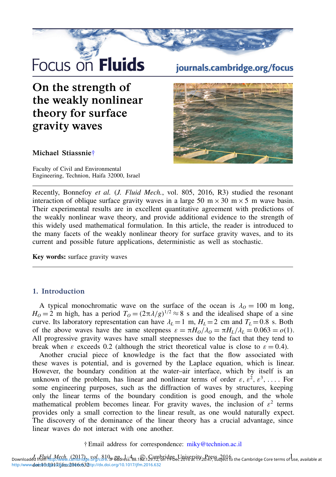# Focus on Fluids

## On the strength of the weakly nonlinear theory for surface gravity waves

#### Michael Stiassnie[†](#page-0-0)

Faculty of Civil and Environmental Engineering, Technion, Haifa 32000, Israel

### journals.cambridge.org/focus



Recently, Bonnefoy *et al.* (*J. Fluid Mech.*, vol. 805, 2016, R3) studied the resonant interaction of oblique surface gravity waves in a large 50 m  $\times$  30 m  $\times$  5 m wave basin. Their experimental results are in excellent quantitative agreement with predictions of the weakly nonlinear wave theory, and provide additional evidence to the strength of this widely used mathematical formulation. In this article, the reader is introduced to the many facets of the weakly nonlinear theory for surface gravity waves, and to its current and possible future applications, deterministic as well as stochastic.

Key words: surface gravity waves

#### 1. Introduction

A typical monochromatic wave on the surface of the ocean is  $\lambda_0 = 100$  m long,  $H_0 = 2$  m high, has a period  $T_0 = (2\pi \lambda/g)^{1/2} \approx 8$  s and the idealised shape of a sine<br>curve Its laboratory representation can have  $\lambda_1 = 1$  m  $H_1 = 2$  cm and  $T_1 = 0.8$  s. Both curve. Its laboratory representation can have  $\lambda_L = 1$  m,  $H_L = 2$  cm and  $T_L = 0.8$  s. Both of the above waves have the same steepness  $\varepsilon = \pi H_0/\lambda_0 = \pi H_L/\lambda_L = 0.063 = o(1)$ . All progressive gravity waves have small steepnesses due to the fact that they tend to break when  $\varepsilon$  exceeds 0.2 (although the strict theoretical value is close to  $\varepsilon = 0.4$ ).

Another crucial piece of knowledge is the fact that the flow associated with these waves is potential, and is governed by the Laplace equation, which is linear. However, the boundary condition at the water–air interface, which by itself is an unknown of the problem, has linear and nonlinear terms of order  $\varepsilon, \varepsilon^2, \varepsilon^3, \ldots$ . For some engineering purposes, such as the diffraction of waves by structures, keeping only the linear terms of the boundary condition is good enough, and the whole mathematical problem becomes linear. For gravity waves, the inclusion of  $\varepsilon^2$  terms provides only a small correction to the linear result, as one would naturally expect. The discovery of the dominance of the linear theory has a crucial advantage, since linear waves do not interact with one another.

#### † Email address for correspondence: [miky@technion.ac.il](mailto:miky@technion.ac.il)

<span id="page-0-0"></span>Downloaded from http://www.campridge.org/core. p-810- pp. 1-4<br>Downloaded from http://www.campridge.org/core. p-80dress: 88.182.129.12, on 1PDec 2016 at 17:20:47, subject to the Cambridge Core terms of use, available at http:/www.doinb0dt017/jfmr2016r632ttp://dx.doi.org/10.1017/jfm.2016.632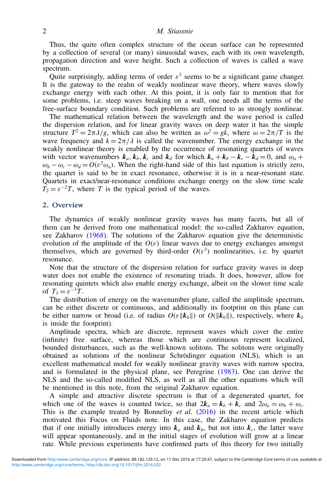#### 2 M. Stiassnie

Thus, the quite often complex structure of the ocean surface can be represented by a collection of several (or many) sinusoidal waves, each with its own wavelength, propagation direction and wave height. Such a collection of waves is called a wave spectrum.

Quite surprisingly, adding terms of order  $\varepsilon^3$  seems to be a significant game changer. It is the gateway to the realm of weakly nonlinear wave theory, where waves slowly exchange energy with each other. At this point, it is only fair to mention that for some problems, i.e. steep waves breaking on a wall, one needs all the terms of the free-surface boundary condition. Such problems are referred to as strongly nonlinear.

The mathematical relation between the wavelength and the wave period is called the dispersion relation, and for linear gravity waves on deep water it has the simple structure  $T^2 = 2\pi \lambda / g$ , which can also be written as  $\omega^2 = gk$ , where  $\omega = 2\pi/T$  is the wave frequency and  $k = 2\pi/\lambda$  is called the wavenumber. The energy exchange in the wave frequency and  $k = 2\pi/\lambda$  is called the wavenumber. The energy exchange in the weakly nonlinear theory is enabled by the occurrence of resonating quartets of waves with vector wavenumbers  $k_a$ ,  $k_b$ ,  $k_c$  and  $k_d$  for which  $k_a + k_b - k_c - k_d = 0$ , and  $\omega_a +$  $\omega_b - \omega_c - \omega_d = O(\varepsilon^2 \omega_a)$ . When the right-hand side of this last equation is strictly zero, the quartet is said to be in exact resonance, otherwise it is in a near-resonant state. Quartets in exact/near-resonance conditions exchange energy on the slow time scale  $T_2 = \varepsilon^{-2}T$ , where *T* is the typical period of the waves.

#### 2. Overview

The dynamics of weakly nonlinear gravity waves has many facets, but all of them can be derived from one mathematical model: the so-called Zakharov equation, see Zakharov (1968). The solutions of the Zakharov equation give the deterministic evolution of the amplitude of the  $O(\varepsilon)$  linear waves due to energy exchanges amongst themselves, which are governed by third-order  $O(\varepsilon^3)$  nonlinearities, i.e. by quartet resonance.

Note that the structure of the dispersion relation for surface gravity waves in deep water does not enable the existence of resonating triads. It does, however, allow for resonating quintets which also enable energy exchange, albeit on the slower time scale of  $T_3 = \varepsilon^{-3}T$ .

The distribution of energy on the wavenumber plane, called the amplitude spectrum, can be either discrete or continuous, and additionally its footprint on this plane can be either narrow or broad (i.e. of radius  $O(\varepsilon ||k_0||)$  or  $O(||k_0||)$ , respectively, where  $k_0$ is inside the footprint).

Amplitude spectra, which are discrete, represent waves which cover the entire (infinite) free surface, whereas those which are continuous represent localized, bounded disturbances, such as the well-known solitons. The solitons were originally obtained as solutions of the nonlinear Schrödinger equation (NLS), which is an excellent mathematical model for weakly nonlinear gravity waves with narrow spectra, and is formulated in the physical plane, see Peregrine (1983). One can derive the NLS and the so-called modified NLS, as well as all the other equations which will be mentioned in this note, from the original Zakharov equation.

A simple and attractive discrete spectrum is that of a degenerated quartet, for which one of the waves is counted twice, so that  $2k_a = k_b + k_c$  and  $2\omega_a = \omega_b + \omega_c$ . This is the example treated by Bonnefoy *et al.* (2016) in the recent article which motivated this Focus on Fluids note. In this case, the Zakharov equation predicts that if one initially introduces energy into  $k_a$  and  $k_b$ , but not into  $k_c$ , the latter wave will appear spontaneously, and in the initial stages of evolution will grow at a linear rate. While previous experiments have confirmed parts of this theory for two initially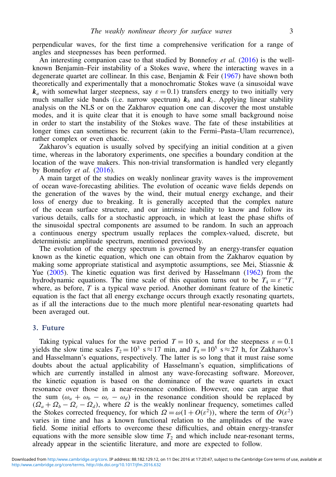perpendicular waves, for the first time a comprehensive verification for a range of angles and steepnesses has been performed.

An interesting companion case to that studied by Bonnefoy *et al.* (2016) is the wellknown Benjamin–Feir instability of a Stokes wave, where the interacting waves in a degenerate quartet are collinear. In this case, Benjamin & Feir (1967) have shown both theoretically and experimentally that a monochromatic Stokes wave (a sinusoidal wave  $k_a$  with somewhat larger steepness, say  $\varepsilon = 0.1$ ) transfers energy to two initially very much smaller side bands (i.e. narrow spectrum)  $k_b$  and  $k_c$ . Applying linear stability analysis on the NLS or on the Zakharov equation one can discover the most unstable modes, and it is quite clear that it is enough to have some small background noise in order to start the instability of the Stokes wave. The fate of these instabilities at longer times can sometimes be recurrent (akin to the Fermi–Pasta–Ulam recurrence), rather complex or even chaotic.

Zakharov's equation is usually solved by specifying an initial condition at a given time, whereas in the laboratory experiments, one specifies a boundary condition at the location of the wave makers. This non-trivial transformation is handled very elegantly by Bonnefoy *et al.* (2016).

A main target of the studies on weakly nonlinear gravity waves is the improvement of ocean wave-forecasting abilities. The evolution of oceanic wave fields depends on the generation of the waves by the wind, their mutual energy exchange, and their loss of energy due to breaking. It is generally accepted that the complex nature of the ocean surface structure, and our intrinsic inability to know and follow its various details, calls for a stochastic approach, in which at least the phase shifts of the sinusoidal spectral components are assumed to be random. In such an approach a continuous energy spectrum usually replaces the complex-valued, discrete, but deterministic amplitude spectrum, mentioned previously.

The evolution of the energy spectrum is governed by an energy-transfer equation known as the kinetic equation, which one can obtain from the Zakharov equation by making some appropriate statistical and asymptotic assumptions, see Mei, Stiassnie  $\&$ Yue (2005). The kinetic equation was first derived by Hasselmann (1962) from the hydrodynamic equations. The time scale of this equation turns out to be  $T_4 = \varepsilon^{-4}T$ , where, as before,  $T$  is a typical wave period. Another dominant feature of the kinetic equation is the fact that all energy exchange occurs through exactly resonating quartets, as if all the interactions due to the much more plentiful near-resonating quartets had been averaged out.

#### 3. Future

Taking typical values for the wave period  $T = 10$  s, and for the steepness  $\varepsilon = 0.1$ yields the slow time scales  $T_2 = 10^3$  s  $\approx 17$  min, and  $T_4 = 10^5$  s  $\approx 27$  h, for Zakharov's and Hasselmann's equations, respectively. The latter is so long that it must raise some doubts about the actual applicability of Hasselmann's equation, simplifications of which are currently installed in almost any wave-forecasting software. Moreover, the kinetic equation is based on the dominance of the wave quartets in exact resonance over those in a near-resonance condition. However, one can argue that the sum  $(\omega_a + \omega_b - \omega_c - \omega_d)$  in the resonance condition should be replaced by  $(\Omega_a + \Omega_b - \Omega_c - \Omega_d)$ , where  $\Omega$  is the weakly nonlinear frequency, sometimes called the Stokes corrected frequency, for which  $\Omega = \omega(1 + O(\varepsilon^2))$ , where the term of  $O(\varepsilon^2)$ varies in time and has a known functional relation to the amplitudes of the wave field. Some initial efforts to overcome these difficulties, and obtain energy-transfer equations with the more sensible slow time  $T_2$  and which include near-resonant terms, already appear in the scientific literature, and more are expected to follow.